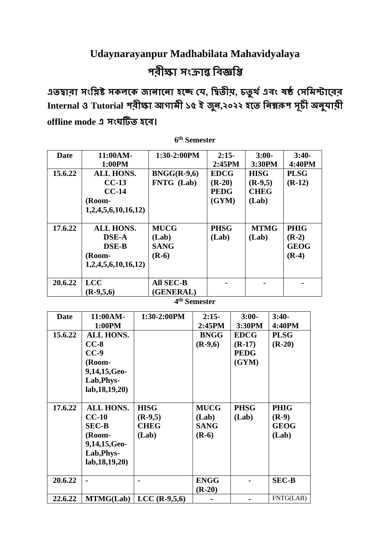## **Udaynarayanpur Madhabilata Mahavidyalaya পরীক্ষা সংক্রান্ত বিজ্ঞবি**

**এতদ্বারা সংবিষ্ট সকলকক জানাকনা হকে যে, বদ্বতীয়, চতু র্থএিং ষষ্ঠ যসবিস্টাকরর Internal ও Tutorial পরীক্ষা আগািী ১৫ ই জুন,২০২২ হকত বনম্নরূপ সূচী অনুোয়ী offline mode এ সংঘটিত হকি।**

| Date    | 11:00AM-           | $1:30-2:00PM$     | $2:15-$     | $3:00-$     | $3:40-$     |
|---------|--------------------|-------------------|-------------|-------------|-------------|
|         | 1:00PM             |                   | 2:45PM      | 3:30PM      | 4:40PM      |
| 15.6.22 | <b>ALL HONS.</b>   | $BNGG(R-9,6)$     | <b>EDCG</b> | <b>HISG</b> | <b>PLSG</b> |
|         | $CC-13$            | <b>FNTG</b> (Lab) | $(R-20)$    | $(R-9,5)$   | $(R-12)$    |
|         | $CC-14$            |                   | <b>PEDG</b> | <b>CHEG</b> |             |
|         | (Room-             |                   | (GYM)       | (Lab)       |             |
|         | 1,2,4,5,6,10,16,12 |                   |             |             |             |
| 17.6.22 | <b>ALL HONS.</b>   | <b>MUCG</b>       | <b>PHSG</b> | <b>MTMG</b> | <b>PHIG</b> |
|         | <b>DSE-A</b>       | (Lab)             | (Lab)       | (Lab)       | $(R-2)$     |
|         | <b>DSE-B</b>       | <b>SANG</b>       |             |             | <b>GEOG</b> |
|         | (Room-             | $(R-6)$           |             |             | $(R-4)$     |
|         | 1,2,4,5,6,10,16,12 |                   |             |             |             |
|         |                    |                   |             |             |             |
| 20.6.22 | <b>LCC</b>         | <b>All SEC-B</b>  |             |             |             |
|         | $(R-9,5,6)$        | (GENERAL)         |             |             |             |

**6 th Semester**

**4 th Semester**

| Date    | 11:00AM-<br>1:00PM                                                                                      | 1:30-2:00PM                                      | $2:15-$<br>2:45PM                              | $3:00-$<br>3:30PM                               | $3:40-$<br>4:40PM                              |
|---------|---------------------------------------------------------------------------------------------------------|--------------------------------------------------|------------------------------------------------|-------------------------------------------------|------------------------------------------------|
| 15.6.22 | <b>ALL HONS.</b><br>$CC-8$<br>$CC-9$<br>(Room-<br>9,14,15,Geo-<br>Lab, Phys-<br>lab, 18, 19, 20)        |                                                  | <b>BNGG</b><br>$(R-9,6)$                       | <b>EDCG</b><br>$(R-17)$<br><b>PEDG</b><br>(GYM) | <b>PLSG</b><br>$(R-20)$                        |
| 17.6.22 | <b>ALL HONS.</b><br>$CC-10$<br><b>SEC-B</b><br>(Room-<br>9,14,15,Geo-<br>Lab, Phys-<br>lab, 18, 19, 20) | <b>HISG</b><br>$(R-9,5)$<br><b>CHEG</b><br>(Lab) | <b>MUCG</b><br>(Lab)<br><b>SANG</b><br>$(R-6)$ | <b>PHSG</b><br>(Lab)                            | <b>PHIG</b><br>$(R-9)$<br><b>GEOG</b><br>(Lab) |
| 20.6.22 |                                                                                                         |                                                  | <b>ENGG</b><br>$(R-20)$                        |                                                 | <b>SEC-B</b>                                   |
| 22.6.22 | <b>MTMG(Lab)</b>                                                                                        | $LCC$ (R-9,5,6)                                  |                                                |                                                 | FNTG(LAB)                                      |